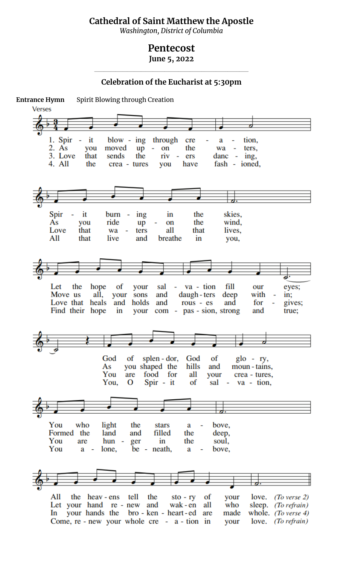## **Cathedral of Saint Matthew the Apostle**

*Washington, District of Columbia*

## **Pentecost**

**June 5, 2022 \_\_\_\_\_\_\_\_\_\_\_\_\_\_\_\_\_\_\_\_\_\_\_\_\_\_\_\_\_\_\_\_\_\_\_\_\_\_\_\_\_\_\_\_\_\_\_\_\_\_\_\_\_\_\_\_\_\_\_\_\_\_\_\_\_\_**

**Celebration of the Eucharist at 5:30pm**

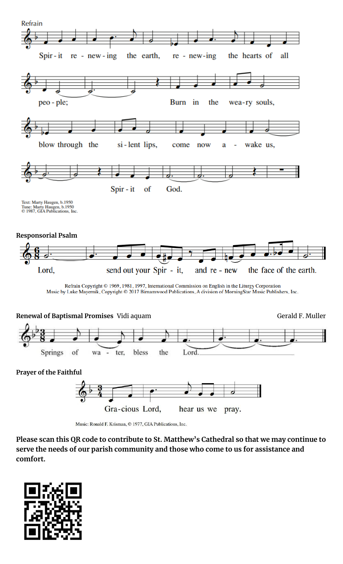



Music: Ronald F. Krisman, © 1977, GIA Publications, Inc.

**Please scan this QR code to contribute to St. Matthew's Cathedral so that we may continue to serve the needs of our parish community and those who come to us for assistance and comfort.**

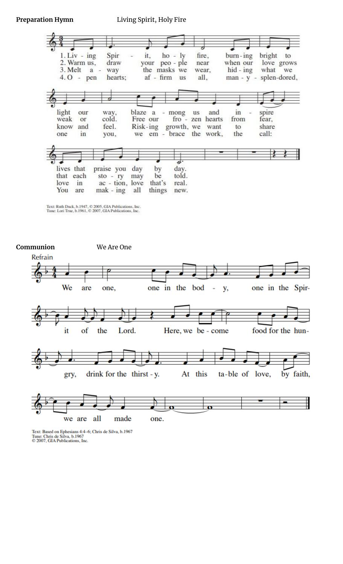## **Preparation Hymn** Living Spirit, Holy Fire





Text: Based on Ephesians 4:4-6; Chris de Silva, b.1967<br>Tune: Chris de Silva, b.1967<br>© 2007, GIA Publications, Inc.